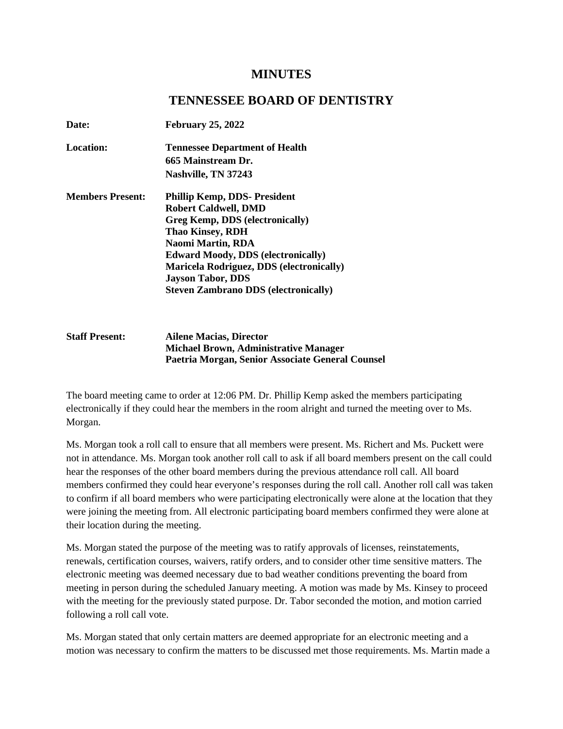# **MINUTES**

## **TENNESSEE BOARD OF DENTISTRY**

| Date:                   | <b>February 25, 2022</b>                        |
|-------------------------|-------------------------------------------------|
| <b>Location:</b>        | <b>Tennessee Department of Health</b>           |
|                         | 665 Mainstream Dr.                              |
|                         | Nashville, TN 37243                             |
| <b>Members Present:</b> | <b>Phillip Kemp, DDS- President</b>             |
|                         | <b>Robert Caldwell, DMD</b>                     |
|                         | Greg Kemp, DDS (electronically)                 |
|                         | <b>Thao Kinsey, RDH</b>                         |
|                         | Naomi Martin, RDA                               |
|                         | <b>Edward Moody, DDS (electronically)</b>       |
|                         | <b>Maricela Rodriguez, DDS (electronically)</b> |
|                         | <b>Jayson Tabor, DDS</b>                        |
|                         | <b>Steven Zambrano DDS (electronically)</b>     |

#### **Staff Present: Ailene Macias, Director Michael Brown, Administrative Manager Paetria Morgan, Senior Associate General Counsel**

The board meeting came to order at 12:06 PM. Dr. Phillip Kemp asked the members participating electronically if they could hear the members in the room alright and turned the meeting over to Ms. Morgan.

Ms. Morgan took a roll call to ensure that all members were present. Ms. Richert and Ms. Puckett were not in attendance. Ms. Morgan took another roll call to ask if all board members present on the call could hear the responses of the other board members during the previous attendance roll call. All board members confirmed they could hear everyone's responses during the roll call. Another roll call was taken to confirm if all board members who were participating electronically were alone at the location that they were joining the meeting from. All electronic participating board members confirmed they were alone at their location during the meeting.

Ms. Morgan stated the purpose of the meeting was to ratify approvals of licenses, reinstatements, renewals, certification courses, waivers, ratify orders, and to consider other time sensitive matters. The electronic meeting was deemed necessary due to bad weather conditions preventing the board from meeting in person during the scheduled January meeting. A motion was made by Ms. Kinsey to proceed with the meeting for the previously stated purpose. Dr. Tabor seconded the motion, and motion carried following a roll call vote.

Ms. Morgan stated that only certain matters are deemed appropriate for an electronic meeting and a motion was necessary to confirm the matters to be discussed met those requirements. Ms. Martin made a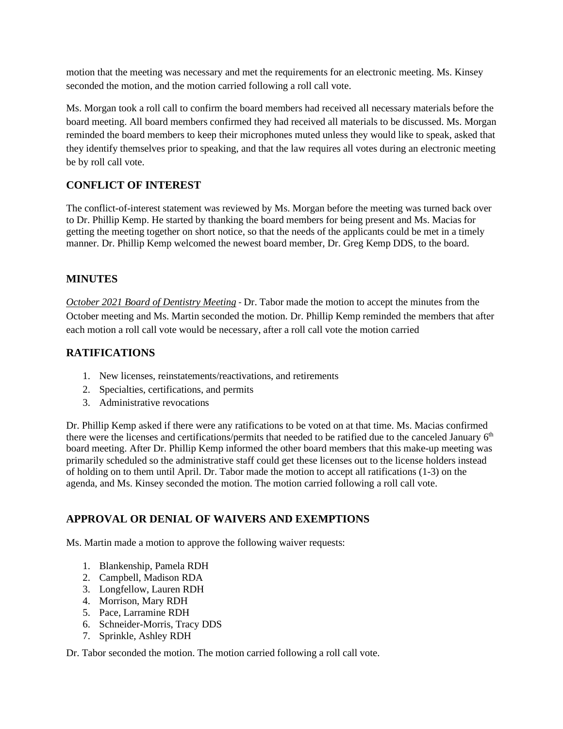motion that the meeting was necessary and met the requirements for an electronic meeting. Ms. Kinsey seconded the motion, and the motion carried following a roll call vote.

Ms. Morgan took a roll call to confirm the board members had received all necessary materials before the board meeting. All board members confirmed they had received all materials to be discussed. Ms. Morgan reminded the board members to keep their microphones muted unless they would like to speak, asked that they identify themselves prior to speaking, and that the law requires all votes during an electronic meeting be by roll call vote.

## **CONFLICT OF INTEREST**

The conflict-of-interest statement was reviewed by Ms. Morgan before the meeting was turned back over to Dr. Phillip Kemp. He started by thanking the board members for being present and Ms. Macias for getting the meeting together on short notice, so that the needs of the applicants could be met in a timely manner. Dr. Phillip Kemp welcomed the newest board member, Dr. Greg Kemp DDS, to the board.

### **MINUTES**

*October 2021 Board of Dentistry Meeting* - Dr. Tabor made the motion to accept the minutes from the October meeting and Ms. Martin seconded the motion. Dr. Phillip Kemp reminded the members that after each motion a roll call vote would be necessary, after a roll call vote the motion carried

## **RATIFICATIONS**

- 1. New licenses, reinstatements/reactivations, and retirements
- 2. Specialties, certifications, and permits
- 3. Administrative revocations

Dr. Phillip Kemp asked if there were any ratifications to be voted on at that time. Ms. Macias confirmed there were the licenses and certifications/permits that needed to be ratified due to the canceled January 6<sup>th</sup> board meeting. After Dr. Phillip Kemp informed the other board members that this make-up meeting was primarily scheduled so the administrative staff could get these licenses out to the license holders instead of holding on to them until April. Dr. Tabor made the motion to accept all ratifications (1-3) on the agenda, and Ms. Kinsey seconded the motion. The motion carried following a roll call vote.

### **APPROVAL OR DENIAL OF WAIVERS AND EXEMPTIONS**

Ms. Martin made a motion to approve the following waiver requests:

- 1. Blankenship, Pamela RDH
- 2. Campbell, Madison RDA
- 3. Longfellow, Lauren RDH
- 4. Morrison, Mary RDH
- 5. Pace, Larramine RDH
- 6. Schneider-Morris, Tracy DDS
- 7. Sprinkle, Ashley RDH

Dr. Tabor seconded the motion. The motion carried following a roll call vote.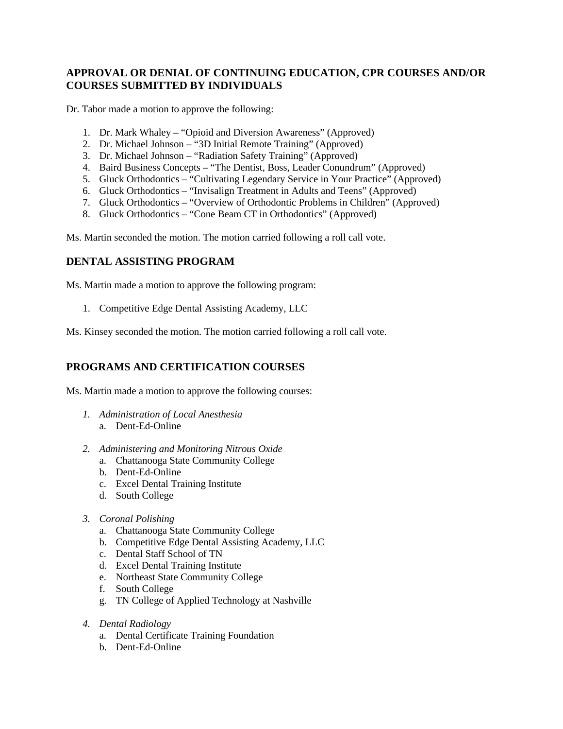### **APPROVAL OR DENIAL OF CONTINUING EDUCATION, CPR COURSES AND/OR COURSES SUBMITTED BY INDIVIDUALS**

Dr. Tabor made a motion to approve the following:

- 1. Dr. Mark Whaley "Opioid and Diversion Awareness" (Approved)
- 2. Dr. Michael Johnson "3D Initial Remote Training" (Approved)
- 3. Dr. Michael Johnson "Radiation Safety Training" (Approved)
- 4. Baird Business Concepts "The Dentist, Boss, Leader Conundrum" (Approved)
- 5. Gluck Orthodontics "Cultivating Legendary Service in Your Practice" (Approved)
- 6. Gluck Orthodontics "Invisalign Treatment in Adults and Teens" (Approved)
- 7. Gluck Orthodontics "Overview of Orthodontic Problems in Children" (Approved)
- 8. Gluck Orthodontics "Cone Beam CT in Orthodontics" (Approved)

Ms. Martin seconded the motion. The motion carried following a roll call vote.

#### **DENTAL ASSISTING PROGRAM**

Ms. Martin made a motion to approve the following program:

1. Competitive Edge Dental Assisting Academy, LLC

Ms. Kinsey seconded the motion. The motion carried following a roll call vote.

### **PROGRAMS AND CERTIFICATION COURSES**

Ms. Martin made a motion to approve the following courses:

- *1. Administration of Local Anesthesia*
	- a. Dent-Ed-Online
- *2. Administering and Monitoring Nitrous Oxide*
	- a. Chattanooga State Community College
	- b. Dent-Ed-Online
	- c. Excel Dental Training Institute
	- d. South College
- *3. Coronal Polishing*
	- a. Chattanooga State Community College
	- b. Competitive Edge Dental Assisting Academy, LLC
	- c. Dental Staff School of TN
	- d. Excel Dental Training Institute
	- e. Northeast State Community College
	- f. South College
	- g. TN College of Applied Technology at Nashville
- *4. Dental Radiology*
	- a. Dental Certificate Training Foundation
	- b. Dent-Ed-Online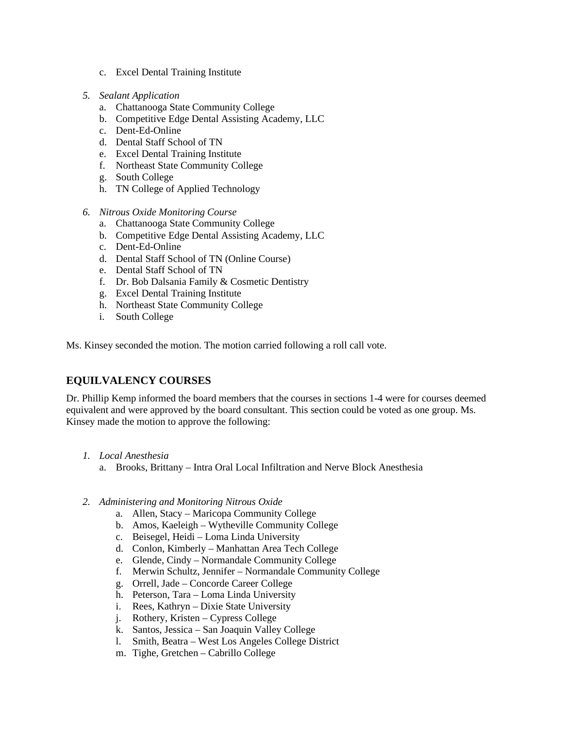- c. Excel Dental Training Institute
- *5. Sealant Application*
	- a. Chattanooga State Community College
	- b. Competitive Edge Dental Assisting Academy, LLC
	- c. Dent-Ed-Online
	- d. Dental Staff School of TN
	- e. Excel Dental Training Institute
	- f. Northeast State Community College
	- g. South College
	- h. TN College of Applied Technology
- *6. Nitrous Oxide Monitoring Course*
	- a. Chattanooga State Community College
	- b. Competitive Edge Dental Assisting Academy, LLC
	- c. Dent-Ed-Online
	- d. Dental Staff School of TN (Online Course)
	- e. Dental Staff School of TN
	- f. Dr. Bob Dalsania Family & Cosmetic Dentistry
	- g. Excel Dental Training Institute
	- h. Northeast State Community College
	- i. South College

Ms. Kinsey seconded the motion. The motion carried following a roll call vote.

#### **EQUILVALENCY COURSES**

Dr. Phillip Kemp informed the board members that the courses in sections 1-4 were for courses deemed equivalent and were approved by the board consultant. This section could be voted as one group. Ms. Kinsey made the motion to approve the following:

- *1. Local Anesthesia*
	- a. Brooks, Brittany Intra Oral Local Infiltration and Nerve Block Anesthesia
- *2. Administering and Monitoring Nitrous Oxide*
	- a. Allen, Stacy Maricopa Community College
	- b. Amos, Kaeleigh Wytheville Community College
	- c. Beisegel, Heidi Loma Linda University
	- d. Conlon, Kimberly Manhattan Area Tech College
	- e. Glende, Cindy Normandale Community College
	- f. Merwin Schultz, Jennifer Normandale Community College
	- g. Orrell, Jade Concorde Career College
	- h. Peterson, Tara Loma Linda University
	- i. Rees, Kathryn Dixie State University
	- j. Rothery, Kristen Cypress College
	- k. Santos, Jessica San Joaquin Valley College
	- l. Smith, Beatra West Los Angeles College District
	- m. Tighe, Gretchen Cabrillo College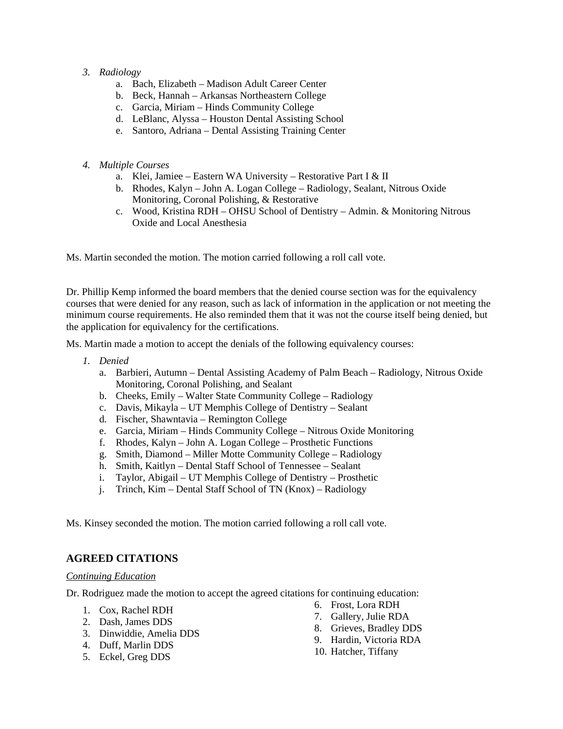#### *3. Radiology*

- a. Bach, Elizabeth Madison Adult Career Center
- b. Beck, Hannah Arkansas Northeastern College
- c. Garcia, Miriam Hinds Community College
- d. LeBlanc, Alyssa Houston Dental Assisting School
- e. Santoro, Adriana Dental Assisting Training Center
- *4. Multiple Courses*
	- a. Klei, Jamiee Eastern WA University Restorative Part I & II
	- b. Rhodes, Kalyn John A. Logan College Radiology, Sealant, Nitrous Oxide Monitoring, Coronal Polishing, & Restorative
	- c. Wood, Kristina RDH OHSU School of Dentistry Admin. & Monitoring Nitrous Oxide and Local Anesthesia

Ms. Martin seconded the motion. The motion carried following a roll call vote.

Dr. Phillip Kemp informed the board members that the denied course section was for the equivalency courses that were denied for any reason, such as lack of information in the application or not meeting the minimum course requirements. He also reminded them that it was not the course itself being denied, but the application for equivalency for the certifications.

Ms. Martin made a motion to accept the denials of the following equivalency courses:

- *1. Denied*
	- a. Barbieri, Autumn Dental Assisting Academy of Palm Beach Radiology, Nitrous Oxide Monitoring, Coronal Polishing, and Sealant
	- b. Cheeks, Emily Walter State Community College Radiology
	- c. Davis, Mikayla UT Memphis College of Dentistry Sealant
	- d. Fischer, Shawntavia Remington College
	- e. Garcia, Miriam Hinds Community College Nitrous Oxide Monitoring
	- f. Rhodes, Kalyn John A. Logan College Prosthetic Functions
	- g. Smith, Diamond Miller Motte Community College Radiology
	- h. Smith, Kaitlyn Dental Staff School of Tennessee Sealant
	- i. Taylor, Abigail UT Memphis College of Dentistry Prosthetic
	- j. Trinch, Kim Dental Staff School of TN (Knox) Radiology

Ms. Kinsey seconded the motion. The motion carried following a roll call vote.

### **AGREED CITATIONS**

#### *Continuing Education*

Dr. Rodriguez made the motion to accept the agreed citations for continuing education:

- 1. Cox, Rachel RDH
- 2. Dash, James DDS
- 3. Dinwiddie, Amelia DDS
- 4. Duff, Marlin DDS
- 5. Eckel, Greg DDS
- 6. Frost, Lora RDH
- 7. Gallery, Julie RDA
- 8. Grieves, Bradley DDS
- 9. Hardin, Victoria RDA
- 10. Hatcher, Tiffany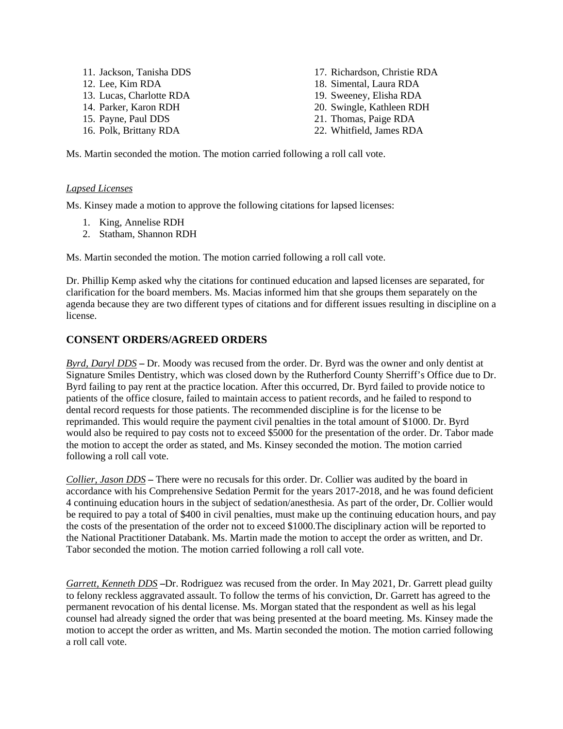11. Jackson, Tanisha DDS 12. Lee, Kim RDA 13. Lucas, Charlotte RDA 14. Parker, Karon RDH 15. Payne, Paul DDS 16. Polk, Brittany RDA

17. Richardson, Christie RDA 18. Simental, Laura RDA 19. Sweeney, Elisha RDA 20. Swingle, Kathleen RDH 21. Thomas, Paige RDA 22. Whitfield, James RDA

Ms. Martin seconded the motion. The motion carried following a roll call vote.

#### *Lapsed Licenses*

Ms. Kinsey made a motion to approve the following citations for lapsed licenses:

- 1. King, Annelise RDH
- 2. Statham, Shannon RDH

Ms. Martin seconded the motion. The motion carried following a roll call vote.

Dr. Phillip Kemp asked why the citations for continued education and lapsed licenses are separated, for clarification for the board members. Ms. Macias informed him that she groups them separately on the agenda because they are two different types of citations and for different issues resulting in discipline on a license.

#### **CONSENT ORDERS/AGREED ORDERS**

*Byrd, Daryl DDS* **–** Dr. Moody was recused from the order. Dr. Byrd was the owner and only dentist at Signature Smiles Dentistry, which was closed down by the Rutherford County Sherriff's Office due to Dr. Byrd failing to pay rent at the practice location. After this occurred, Dr. Byrd failed to provide notice to patients of the office closure, failed to maintain access to patient records, and he failed to respond to dental record requests for those patients. The recommended discipline is for the license to be reprimanded. This would require the payment civil penalties in the total amount of \$1000. Dr. Byrd would also be required to pay costs not to exceed \$5000 for the presentation of the order. Dr. Tabor made the motion to accept the order as stated, and Ms. Kinsey seconded the motion. The motion carried following a roll call vote.

*Collier, Jason DDS* **–** There were no recusals for this order. Dr. Collier was audited by the board in accordance with his Comprehensive Sedation Permit for the years 2017-2018, and he was found deficient 4 continuing education hours in the subject of sedation/anesthesia. As part of the order, Dr. Collier would be required to pay a total of \$400 in civil penalties, must make up the continuing education hours, and pay the costs of the presentation of the order not to exceed \$1000.The disciplinary action will be reported to the National Practitioner Databank. Ms. Martin made the motion to accept the order as written, and Dr. Tabor seconded the motion. The motion carried following a roll call vote.

*Garrett, Kenneth DDS* **–**Dr. Rodriguez was recused from the order. In May 2021, Dr. Garrett plead guilty to felony reckless aggravated assault. To follow the terms of his conviction, Dr. Garrett has agreed to the permanent revocation of his dental license. Ms. Morgan stated that the respondent as well as his legal counsel had already signed the order that was being presented at the board meeting. Ms. Kinsey made the motion to accept the order as written, and Ms. Martin seconded the motion. The motion carried following a roll call vote.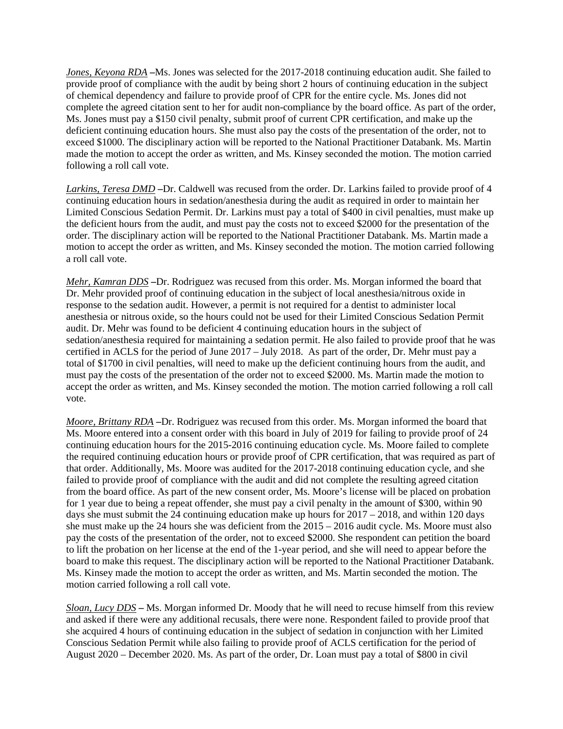*Jones, Keyona RDA* **–**Ms. Jones was selected for the 2017-2018 continuing education audit. She failed to provide proof of compliance with the audit by being short 2 hours of continuing education in the subject of chemical dependency and failure to provide proof of CPR for the entire cycle. Ms. Jones did not complete the agreed citation sent to her for audit non-compliance by the board office. As part of the order, Ms. Jones must pay a \$150 civil penalty, submit proof of current CPR certification, and make up the deficient continuing education hours. She must also pay the costs of the presentation of the order, not to exceed \$1000. The disciplinary action will be reported to the National Practitioner Databank. Ms. Martin made the motion to accept the order as written, and Ms. Kinsey seconded the motion. The motion carried following a roll call vote.

*Larkins, Teresa DMD* **–**Dr. Caldwell was recused from the order. Dr. Larkins failed to provide proof of 4 continuing education hours in sedation/anesthesia during the audit as required in order to maintain her Limited Conscious Sedation Permit. Dr. Larkins must pay a total of \$400 in civil penalties, must make up the deficient hours from the audit, and must pay the costs not to exceed \$2000 for the presentation of the order. The disciplinary action will be reported to the National Practitioner Databank. Ms. Martin made a motion to accept the order as written, and Ms. Kinsey seconded the motion. The motion carried following a roll call vote.

*Mehr, Kamran DDS* **–**Dr. Rodriguez was recused from this order. Ms. Morgan informed the board that Dr. Mehr provided proof of continuing education in the subject of local anesthesia/nitrous oxide in response to the sedation audit. However, a permit is not required for a dentist to administer local anesthesia or nitrous oxide, so the hours could not be used for their Limited Conscious Sedation Permit audit. Dr. Mehr was found to be deficient 4 continuing education hours in the subject of sedation/anesthesia required for maintaining a sedation permit. He also failed to provide proof that he was certified in ACLS for the period of June 2017 – July 2018. As part of the order, Dr. Mehr must pay a total of \$1700 in civil penalties, will need to make up the deficient continuing hours from the audit, and must pay the costs of the presentation of the order not to exceed \$2000. Ms. Martin made the motion to accept the order as written, and Ms. Kinsey seconded the motion. The motion carried following a roll call vote.

*Moore, Brittany RDA* **–**Dr. Rodriguez was recused from this order. Ms. Morgan informed the board that Ms. Moore entered into a consent order with this board in July of 2019 for failing to provide proof of 24 continuing education hours for the 2015-2016 continuing education cycle. Ms. Moore failed to complete the required continuing education hours or provide proof of CPR certification, that was required as part of that order. Additionally, Ms. Moore was audited for the 2017-2018 continuing education cycle, and she failed to provide proof of compliance with the audit and did not complete the resulting agreed citation from the board office. As part of the new consent order, Ms. Moore's license will be placed on probation for 1 year due to being a repeat offender, she must pay a civil penalty in the amount of \$300, within 90 days she must submit the 24 continuing education make up hours for 2017 – 2018, and within 120 days she must make up the 24 hours she was deficient from the 2015 – 2016 audit cycle. Ms. Moore must also pay the costs of the presentation of the order, not to exceed \$2000. She respondent can petition the board to lift the probation on her license at the end of the 1-year period, and she will need to appear before the board to make this request. The disciplinary action will be reported to the National Practitioner Databank. Ms. Kinsey made the motion to accept the order as written, and Ms. Martin seconded the motion. The motion carried following a roll call vote.

*Sloan, Lucy DDS* **–** Ms. Morgan informed Dr. Moody that he will need to recuse himself from this review and asked if there were any additional recusals, there were none. Respondent failed to provide proof that she acquired 4 hours of continuing education in the subject of sedation in conjunction with her Limited Conscious Sedation Permit while also failing to provide proof of ACLS certification for the period of August 2020 – December 2020. Ms. As part of the order, Dr. Loan must pay a total of \$800 in civil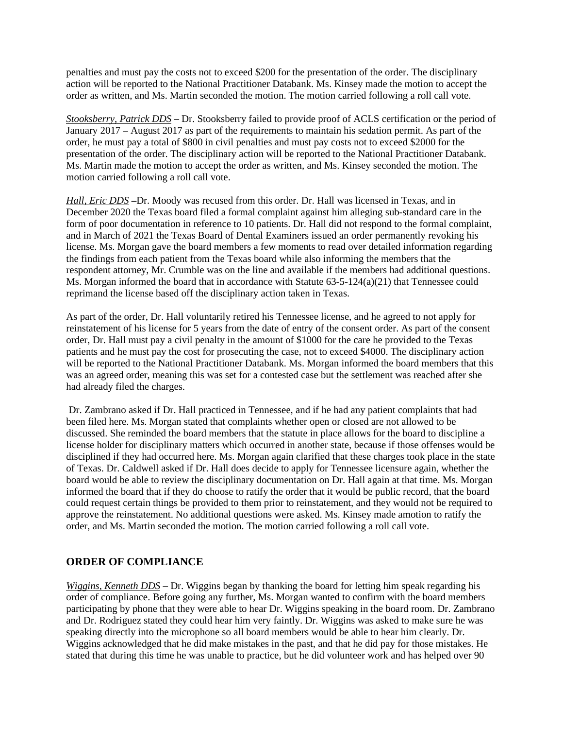penalties and must pay the costs not to exceed \$200 for the presentation of the order. The disciplinary action will be reported to the National Practitioner Databank. Ms. Kinsey made the motion to accept the order as written, and Ms. Martin seconded the motion. The motion carried following a roll call vote.

*Stooksberry, Patrick DDS* **–** Dr. Stooksberry failed to provide proof of ACLS certification or the period of January 2017 – August 2017 as part of the requirements to maintain his sedation permit. As part of the order, he must pay a total of \$800 in civil penalties and must pay costs not to exceed \$2000 for the presentation of the order. The disciplinary action will be reported to the National Practitioner Databank. Ms. Martin made the motion to accept the order as written, and Ms. Kinsey seconded the motion. The motion carried following a roll call vote.

*Hall, Eric DDS* **–**Dr. Moody was recused from this order. Dr. Hall was licensed in Texas, and in December 2020 the Texas board filed a formal complaint against him alleging sub-standard care in the form of poor documentation in reference to 10 patients. Dr. Hall did not respond to the formal complaint, and in March of 2021 the Texas Board of Dental Examiners issued an order permanently revoking his license. Ms. Morgan gave the board members a few moments to read over detailed information regarding the findings from each patient from the Texas board while also informing the members that the respondent attorney, Mr. Crumble was on the line and available if the members had additional questions. Ms. Morgan informed the board that in accordance with Statute  $63-5-124(a)(21)$  that Tennessee could reprimand the license based off the disciplinary action taken in Texas.

As part of the order, Dr. Hall voluntarily retired his Tennessee license, and he agreed to not apply for reinstatement of his license for 5 years from the date of entry of the consent order. As part of the consent order, Dr. Hall must pay a civil penalty in the amount of \$1000 for the care he provided to the Texas patients and he must pay the cost for prosecuting the case, not to exceed \$4000. The disciplinary action will be reported to the National Practitioner Databank. Ms. Morgan informed the board members that this was an agreed order, meaning this was set for a contested case but the settlement was reached after she had already filed the charges.

Dr. Zambrano asked if Dr. Hall practiced in Tennessee, and if he had any patient complaints that had been filed here. Ms. Morgan stated that complaints whether open or closed are not allowed to be discussed. She reminded the board members that the statute in place allows for the board to discipline a license holder for disciplinary matters which occurred in another state, because if those offenses would be disciplined if they had occurred here. Ms. Morgan again clarified that these charges took place in the state of Texas. Dr. Caldwell asked if Dr. Hall does decide to apply for Tennessee licensure again, whether the board would be able to review the disciplinary documentation on Dr. Hall again at that time. Ms. Morgan informed the board that if they do choose to ratify the order that it would be public record, that the board could request certain things be provided to them prior to reinstatement, and they would not be required to approve the reinstatement. No additional questions were asked. Ms. Kinsey made amotion to ratify the order, and Ms. Martin seconded the motion. The motion carried following a roll call vote.

### **ORDER OF COMPLIANCE**

*Wiggins, Kenneth DDS* **–** Dr. Wiggins began by thanking the board for letting him speak regarding his order of compliance. Before going any further, Ms. Morgan wanted to confirm with the board members participating by phone that they were able to hear Dr. Wiggins speaking in the board room. Dr. Zambrano and Dr. Rodriguez stated they could hear him very faintly. Dr. Wiggins was asked to make sure he was speaking directly into the microphone so all board members would be able to hear him clearly. Dr. Wiggins acknowledged that he did make mistakes in the past, and that he did pay for those mistakes. He stated that during this time he was unable to practice, but he did volunteer work and has helped over 90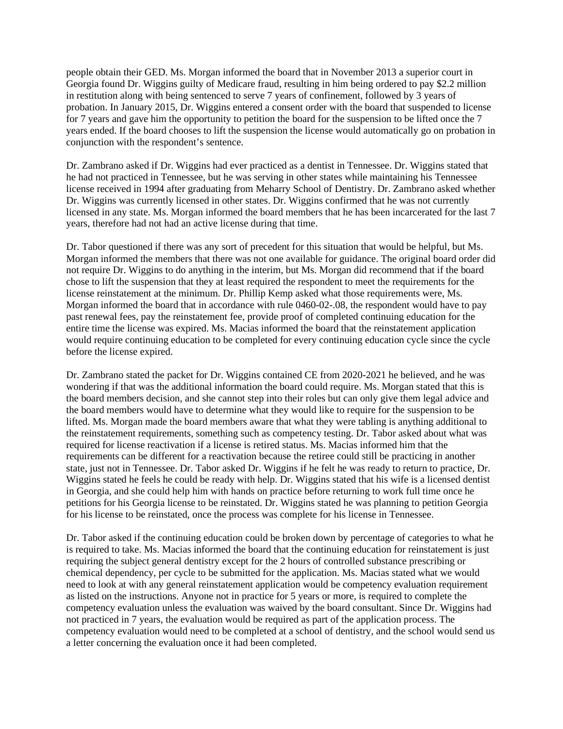people obtain their GED. Ms. Morgan informed the board that in November 2013 a superior court in Georgia found Dr. Wiggins guilty of Medicare fraud, resulting in him being ordered to pay \$2.2 million in restitution along with being sentenced to serve 7 years of confinement, followed by 3 years of probation. In January 2015, Dr. Wiggins entered a consent order with the board that suspended to license for 7 years and gave him the opportunity to petition the board for the suspension to be lifted once the 7 years ended. If the board chooses to lift the suspension the license would automatically go on probation in conjunction with the respondent's sentence.

Dr. Zambrano asked if Dr. Wiggins had ever practiced as a dentist in Tennessee. Dr. Wiggins stated that he had not practiced in Tennessee, but he was serving in other states while maintaining his Tennessee license received in 1994 after graduating from Meharry School of Dentistry. Dr. Zambrano asked whether Dr. Wiggins was currently licensed in other states. Dr. Wiggins confirmed that he was not currently licensed in any state. Ms. Morgan informed the board members that he has been incarcerated for the last 7 years, therefore had not had an active license during that time.

Dr. Tabor questioned if there was any sort of precedent for this situation that would be helpful, but Ms. Morgan informed the members that there was not one available for guidance. The original board order did not require Dr. Wiggins to do anything in the interim, but Ms. Morgan did recommend that if the board chose to lift the suspension that they at least required the respondent to meet the requirements for the license reinstatement at the minimum. Dr. Phillip Kemp asked what those requirements were, Ms. Morgan informed the board that in accordance with rule 0460-02-.08, the respondent would have to pay past renewal fees, pay the reinstatement fee, provide proof of completed continuing education for the entire time the license was expired. Ms. Macias informed the board that the reinstatement application would require continuing education to be completed for every continuing education cycle since the cycle before the license expired.

Dr. Zambrano stated the packet for Dr. Wiggins contained CE from 2020-2021 he believed, and he was wondering if that was the additional information the board could require. Ms. Morgan stated that this is the board members decision, and she cannot step into their roles but can only give them legal advice and the board members would have to determine what they would like to require for the suspension to be lifted. Ms. Morgan made the board members aware that what they were tabling is anything additional to the reinstatement requirements, something such as competency testing. Dr. Tabor asked about what was required for license reactivation if a license is retired status. Ms. Macias informed him that the requirements can be different for a reactivation because the retiree could still be practicing in another state, just not in Tennessee. Dr. Tabor asked Dr. Wiggins if he felt he was ready to return to practice, Dr. Wiggins stated he feels he could be ready with help. Dr. Wiggins stated that his wife is a licensed dentist in Georgia, and she could help him with hands on practice before returning to work full time once he petitions for his Georgia license to be reinstated. Dr. Wiggins stated he was planning to petition Georgia for his license to be reinstated, once the process was complete for his license in Tennessee.

Dr. Tabor asked if the continuing education could be broken down by percentage of categories to what he is required to take. Ms. Macias informed the board that the continuing education for reinstatement is just requiring the subject general dentistry except for the 2 hours of controlled substance prescribing or chemical dependency, per cycle to be submitted for the application. Ms. Macias stated what we would need to look at with any general reinstatement application would be competency evaluation requirement as listed on the instructions. Anyone not in practice for 5 years or more, is required to complete the competency evaluation unless the evaluation was waived by the board consultant. Since Dr. Wiggins had not practiced in 7 years, the evaluation would be required as part of the application process. The competency evaluation would need to be completed at a school of dentistry, and the school would send us a letter concerning the evaluation once it had been completed.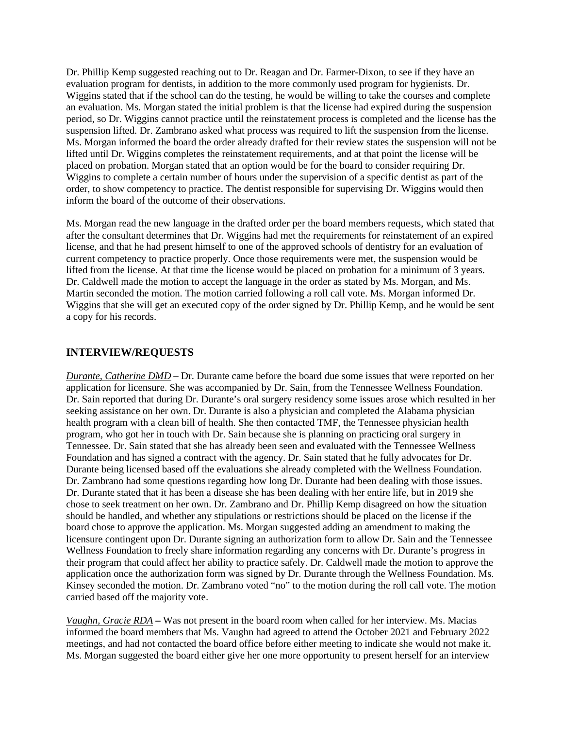Dr. Phillip Kemp suggested reaching out to Dr. Reagan and Dr. Farmer-Dixon, to see if they have an evaluation program for dentists, in addition to the more commonly used program for hygienists. Dr. Wiggins stated that if the school can do the testing, he would be willing to take the courses and complete an evaluation. Ms. Morgan stated the initial problem is that the license had expired during the suspension period, so Dr. Wiggins cannot practice until the reinstatement process is completed and the license has the suspension lifted. Dr. Zambrano asked what process was required to lift the suspension from the license. Ms. Morgan informed the board the order already drafted for their review states the suspension will not be lifted until Dr. Wiggins completes the reinstatement requirements, and at that point the license will be placed on probation. Morgan stated that an option would be for the board to consider requiring Dr. Wiggins to complete a certain number of hours under the supervision of a specific dentist as part of the order, to show competency to practice. The dentist responsible for supervising Dr. Wiggins would then inform the board of the outcome of their observations.

Ms. Morgan read the new language in the drafted order per the board members requests, which stated that after the consultant determines that Dr. Wiggins had met the requirements for reinstatement of an expired license, and that he had present himself to one of the approved schools of dentistry for an evaluation of current competency to practice properly. Once those requirements were met, the suspension would be lifted from the license. At that time the license would be placed on probation for a minimum of 3 years. Dr. Caldwell made the motion to accept the language in the order as stated by Ms. Morgan, and Ms. Martin seconded the motion. The motion carried following a roll call vote. Ms. Morgan informed Dr. Wiggins that she will get an executed copy of the order signed by Dr. Phillip Kemp, and he would be sent a copy for his records.

#### **INTERVIEW/REQUESTS**

*Durante, Catherine DMD* **–** Dr. Durante came before the board due some issues that were reported on her application for licensure. She was accompanied by Dr. Sain, from the Tennessee Wellness Foundation. Dr. Sain reported that during Dr. Durante's oral surgery residency some issues arose which resulted in her seeking assistance on her own. Dr. Durante is also a physician and completed the Alabama physician health program with a clean bill of health. She then contacted TMF, the Tennessee physician health program, who got her in touch with Dr. Sain because she is planning on practicing oral surgery in Tennessee. Dr. Sain stated that she has already been seen and evaluated with the Tennessee Wellness Foundation and has signed a contract with the agency. Dr. Sain stated that he fully advocates for Dr. Durante being licensed based off the evaluations she already completed with the Wellness Foundation. Dr. Zambrano had some questions regarding how long Dr. Durante had been dealing with those issues. Dr. Durante stated that it has been a disease she has been dealing with her entire life, but in 2019 she chose to seek treatment on her own. Dr. Zambrano and Dr. Phillip Kemp disagreed on how the situation should be handled, and whether any stipulations or restrictions should be placed on the license if the board chose to approve the application. Ms. Morgan suggested adding an amendment to making the licensure contingent upon Dr. Durante signing an authorization form to allow Dr. Sain and the Tennessee Wellness Foundation to freely share information regarding any concerns with Dr. Durante's progress in their program that could affect her ability to practice safely. Dr. Caldwell made the motion to approve the application once the authorization form was signed by Dr. Durante through the Wellness Foundation. Ms. Kinsey seconded the motion. Dr. Zambrano voted "no" to the motion during the roll call vote. The motion carried based off the majority vote.

*Vaughn, Gracie RDA* **–** Was not present in the board room when called for her interview. Ms. Macias informed the board members that Ms. Vaughn had agreed to attend the October 2021 and February 2022 meetings, and had not contacted the board office before either meeting to indicate she would not make it. Ms. Morgan suggested the board either give her one more opportunity to present herself for an interview